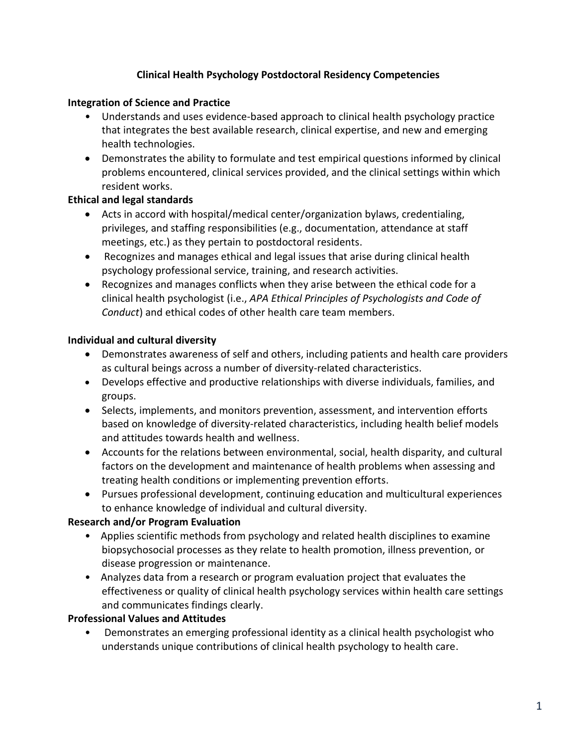## **Clinical Health Psychology Postdoctoral Residency Competencies**

### **Integration of Science and Practice**

- Understands and uses evidence-based approach to clinical health psychology practice that integrates the best available research, clinical expertise, and new and emerging health technologies.
- Demonstrates the ability to formulate and test empirical questions informed by clinical problems encountered, clinical services provided, and the clinical settings within which resident works.

## **Ethical and legal standards**

- Acts in accord with hospital/medical center/organization bylaws, credentialing, privileges, and staffing responsibilities (e.g., documentation, attendance at staff meetings, etc.) as they pertain to postdoctoral residents.
- Recognizes and manages ethical and legal issues that arise during clinical health psychology professional service, training, and research activities.
- Recognizes and manages conflicts when they arise between the ethical code for a clinical health psychologist (i.e., *APA Ethical Principles of Psychologists and Code of Conduct*) and ethical codes of other health care team members.

## **Individual and cultural diversity**

- Demonstrates awareness of self and others, including patients and health care providers as cultural beings across a number of diversity-related characteristics.
- Develops effective and productive relationships with diverse individuals, families, and groups.
- Selects, implements, and monitors prevention, assessment, and intervention efforts based on knowledge of diversity-related characteristics, including health belief models and attitudes towards health and wellness.
- Accounts for the relations between environmental, social, health disparity, and cultural factors on the development and maintenance of health problems when assessing and treating health conditions or implementing prevention efforts.
- Pursues professional development, continuing education and multicultural experiences to enhance knowledge of individual and cultural diversity.

# **Research and/or Program Evaluation**

- Applies scientific methods from psychology and related health disciplines to examine biopsychosocial processes as they relate to health promotion, illness prevention, or disease progression or maintenance.
- Analyzes data from a research or program evaluation project that evaluates the effectiveness or quality of clinical health psychology services within health care settings and communicates findings clearly.

#### **Professional Values and Attitudes**

• Demonstrates an emerging professional identity as a clinical health psychologist who understands unique contributions of clinical health psychology to health care.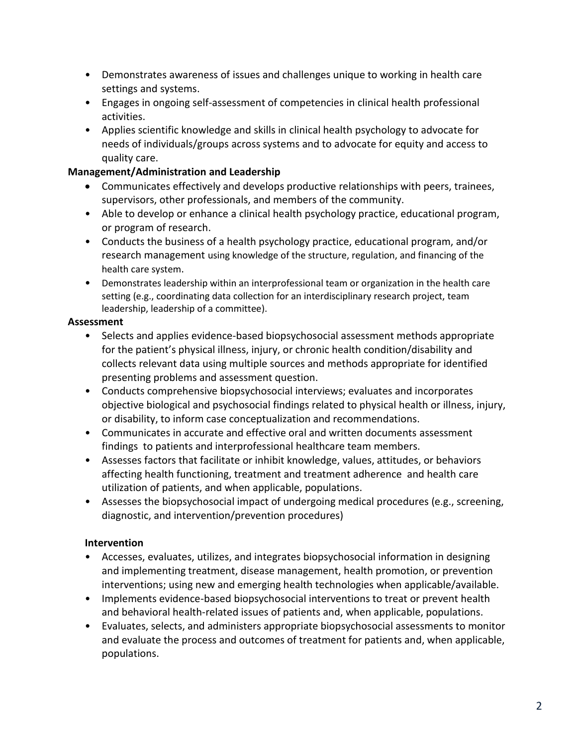- Demonstrates awareness of issues and challenges unique to working in health care settings and systems.
- Engages in ongoing self-assessment of competencies in clinical health professional activities.
- Applies scientific knowledge and skills in clinical health psychology to advocate for needs of individuals/groups across systems and to advocate for equity and access to quality care.

## **Management/Administration and Leadership**

- Communicates effectively and develops productive relationships with peers, trainees, supervisors, other professionals, and members of the community.
- Able to develop or enhance a clinical health psychology practice, educational program, or program of research.
- Conducts the business of a health psychology practice, educational program, and/or research management using knowledge of the structure, regulation, and financing of the health care system.
- Demonstrates leadership within an interprofessional team or organization in the health care setting (e.g., coordinating data collection for an interdisciplinary research project, team leadership, leadership of a committee).

## **Assessment**

- Selects and applies evidence-based biopsychosocial assessment methods appropriate for the patient's physical illness, injury, or chronic health condition/disability and collects relevant data using multiple sources and methods appropriate for identified presenting problems and assessment question.
- Conducts comprehensive biopsychosocial interviews; evaluates and incorporates objective biological and psychosocial findings related to physical health or illness, injury, or disability, to inform case conceptualization and recommendations.
- Communicates in accurate and effective oral and written documents assessment findings to patients and interprofessional healthcare team members.
- Assesses factors that facilitate or inhibit knowledge, values, attitudes, or behaviors affecting health functioning, treatment and treatment adherence and health care utilization of patients, and when applicable, populations.
- Assesses the biopsychosocial impact of undergoing medical procedures (e.g., screening, diagnostic, and intervention/prevention procedures)

# **Intervention**

- Accesses, evaluates, utilizes, and integrates biopsychosocial information in designing and implementing treatment, disease management, health promotion, or prevention interventions; using new and emerging health technologies when applicable/available.
- Implements evidence-based biopsychosocial interventions to treat or prevent health and behavioral health-related issues of patients and, when applicable, populations.
- Evaluates, selects, and administers appropriate biopsychosocial assessments to monitor and evaluate the process and outcomes of treatment for patients and, when applicable, populations.